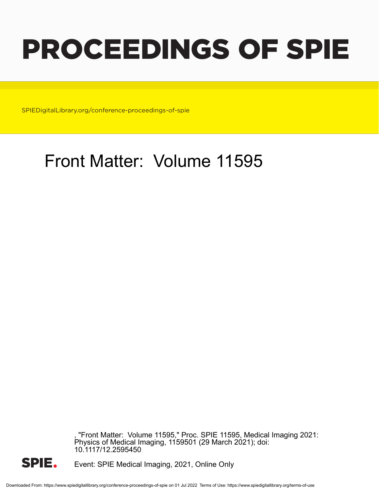# PROCEEDINGS OF SPIE

SPIEDigitalLibrary.org/conference-proceedings-of-spie

# Front Matter: Volume 11595

, "Front Matter: Volume 11595," Proc. SPIE 11595, Medical Imaging 2021: Physics of Medical Imaging, 1159501 (29 March 2021); doi: 10.1117/12.2595450



Event: SPIE Medical Imaging, 2021, Online Only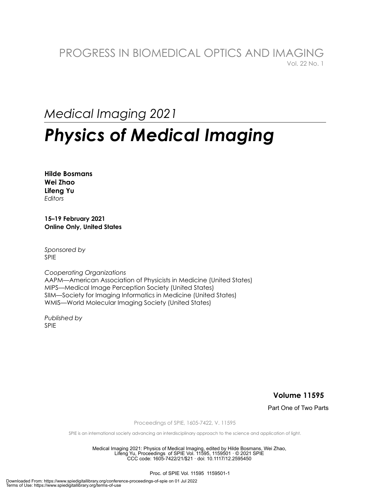### PROGRESS IN BIOMEDICAL OPTICS AND IMAGING Vol. 22 No. 1

## *Medical Imaging 2021*

# *Physics of Medical Imaging*

**Hilde Bosmans Wei Zhao Lifeng Yu**  *Editors* 

**15–19 February 2021 Online Only, United States** 

*Sponsored by*  SPIE

*Cooperating Organizations*  AAPM—American Association of Physicists in Medicine (United States) MIPS—Medical Image Perception Society (United States) SIIM—Society for Imaging Informatics in Medicine (United States) WMIS—World Molecular Imaging Society (United States)

*Published by* SPIE

**Volume 11595** 

Part One of Two Parts

Proceedings of SPIE, 1605-7422, V. 11595

SPIE is an international society advancing an interdisciplinary approach to the science and application of light.

Medical Imaging 2021: Physics of Medical Imaging, edited by Hilde Bosmans, Wei Zhao, Lifeng Yu, Proceedings of SPIE Vol. 11595, 1159501 · © 2021 SPIE CCC code: 1605-7422/21/\$21 · doi: 10.1117/12.2595450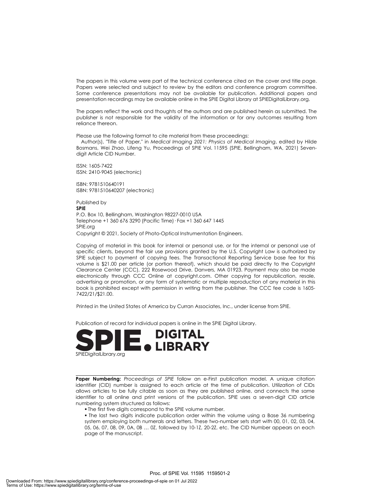The papers in this volume were part of the technical conference cited on the cover and title page. Papers were selected and subject to review by the editors and conference program committee. Some conference presentations may not be available for publication. Additional papers and presentation recordings may be available online in the SPIE Digital Library at SPIEDigitalLibrary.org.

The papers reflect the work and thoughts of the authors and are published herein as submitted. The publisher is not responsible for the validity of the information or for any outcomes resulting from reliance thereon.

Please use the following format to cite material from these proceedings:

 Author(s), "Title of Paper," in *Medical Imaging 2021: Physics of Medical Imaging*, edited by Hilde Bosmans, Wei Zhao, Lifeng Yu, Proceedings of SPIE Vol. 11595 (SPIE, Bellingham, WA, 2021) Sevendigit Article CID Number.

ISSN: 1605-7422 ISSN: 2410-9045 (electronic)

ISBN: 9781510640191 ISBN: 9781510640207 (electronic)

Published by **SPIE**  P.O. Box 10, Bellingham, Washington 98227-0010 USA Telephone +1 360 676 3290 (Pacific Time)· Fax +1 360 647 1445 SPIE.org Copyright © 2021, Society of Photo-Optical Instrumentation Engineers.

Copying of material in this book for internal or personal use, or for the internal or personal use of specific clients, beyond the fair use provisions granted by the U.S. Copyright Law is authorized by SPIE subject to payment of copying fees. The Transactional Reporting Service base fee for this volume is \$21.00 per article (or portion thereof), which should be paid directly to the Copyright Clearance Center (CCC), 222 Rosewood Drive, Danvers, MA 01923. Payment may also be made electronically through CCC Online at copyright.com. Other copying for republication, resale, advertising or promotion, or any form of systematic or multiple reproduction of any material in this book is prohibited except with permission in writing from the publisher. The CCC fee code is 1605- 7422/21/\$21.00.

Printed in the United States of America by Curran Associates, Inc., under license from SPIE.

Publication of record for individual papers is online in the SPIE Digital Library.



**Paper Numbering:** *Proceedings of SPIE* follow an e-First publication model. A unique citation identifier (CID) number is assigned to each article at the time of publication. Utilization of CIDs allows articles to be fully citable as soon as they are published online, and connects the same identifier to all online and print versions of the publication. SPIE uses a seven-digit CID article numbering system structured as follows:

The first five digits correspond to the SPIE volume number.

 The last two digits indicate publication order within the volume using a Base 36 numbering system employing both numerals and letters. These two-number sets start with 00, 01, 02, 03, 04, 05, 06, 07, 08, 09, 0A, 0B … 0Z, followed by 10-1Z, 20-2Z, etc. The CID Number appears on each page of the manuscript.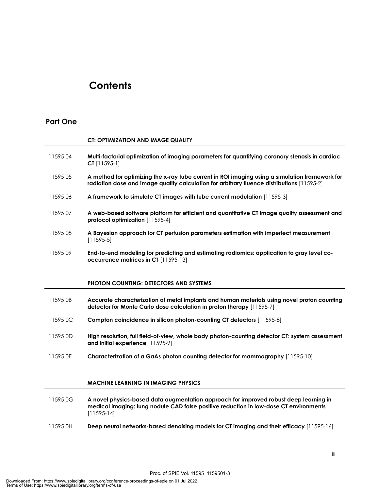### **Contents**

### **Part One**

|          | <b>CT: OPTIMIZATION AND IMAGE QUALITY</b>                                                                                                                                                      |
|----------|------------------------------------------------------------------------------------------------------------------------------------------------------------------------------------------------|
| 1159504  | Multi-factorial optimization of imaging parameters for quantifying coronary stenosis in cardiac<br>$CI$ [11595-1]                                                                              |
| 1159505  | A method for optimizing the x-ray tube current in ROI imaging using a simulation framework for<br>radiation dose and image quality calculation for arbitrary fluence distributions [11595-2]   |
| 1159506  | A framework to simulate CT images with tube current modulation [11595-3]                                                                                                                       |
| 1159507  | A web-based software platform for efficient and quantitative CT image quality assessment and<br>protocol optimization [11595-4]                                                                |
| 1159508  | A Bayesian approach for CT perfusion parameters estimation with imperfect measurement<br>$[11595-5]$                                                                                           |
| 1159509  | End-to-end modeling for predicting and estimating radiomics: application to gray level co-<br>occurrence matrices in CT [11595-13]                                                             |
|          | <b>PHOTON COUNTING: DETECTORS AND SYSTEMS</b>                                                                                                                                                  |
| 11595 OB | Accurate characterization of metal implants and human materials using novel proton counting<br>detector for Monte Carlo dose calculation in proton therapy [11595-7]                           |
| 11595 OC | Compton coincidence in silicon photon-counting CT detectors [11595-8]                                                                                                                          |
| 11595 OD | High resolution, full field-of-view, whole body photon-counting detector CT: system assessment<br>and initial experience [11595-9]                                                             |
| 11595 OE | Characterization of a GaAs photon counting detector for mammography [11595-10]                                                                                                                 |
|          |                                                                                                                                                                                                |
|          | <b>MACHINE LEARNING IN IMAGING PHYSICS</b>                                                                                                                                                     |
| 11595 0G | A novel physics-based data augmentation approach for improved robust deep learning in<br>medical imaging: lung nodule CAD false positive reduction in low-dose CT environments<br>$[11595-14]$ |

11595 0H **Deep neural networks-based denoising models for CT imaging and their efficacy** [11595-16]

Proc. of SPIE Vol. 11595 1159501-3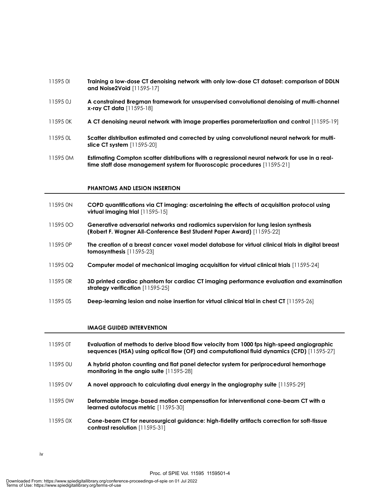#### 11595 0I **Training a low-dose CT denoising network with only low-dose CT dataset: comparison of DDLN and Noise2Void** [11595-17]

- 11595 0J **A constrained Bregman framework for unsupervised convolutional denoising of multi-channel x-ray CT data** [11595-18]
- 11595 0K **A CT denoising neural network with image properties parameterization and control** [11595-19]
- 11595 0L **Scatter distribution estimated and corrected by using convolutional neural network for multislice CT system** [11595-20]
- 11595 0M **Estimating Compton scatter distributions with a regressional neural network for use in a realtime staff dose management system for fluoroscopic procedures** [11595-21]

#### **PHANTOMS AND LESION INSERTION**

- 11595 0N **COPD quantifications via CT imaging: ascertaining the effects of acquisition protocol using virtual imaging trial** [11595-15]
- 11595 0O **Generative adversarial networks and radiomics supervision for lung lesion synthesis (Robert F. Wagner All-Conference Best Student Paper Award)** [11595-22]
- 11595 0P **The creation of a breast cancer voxel model database for virtual clinical trials in digital breast tomosynthesis** [11595-23]
- 11595 0Q **Computer model of mechanical imaging acquisition for virtual clinical trials** [11595-24]
- 11595 0R **3D printed cardiac phantom for cardiac CT imaging performance evaluation and examination strategy verification** [11595-25]
- 11595 0S **Deep-learning lesion and noise insertion for virtual clinical trial in chest CT** [11595-26]

#### **IMAGE GUIDED INTERVENTION**

- 11595 0T **Evaluation of methods to derive blood flow velocity from 1000 fps high-speed angiographic sequences (HSA) using optical flow (OF) and computational fluid dynamics (CFD)** [11595-27]
- 11595 0U **A hybrid photon counting and flat panel detector system for periprocedural hemorrhage monitoring in the angio suite** [11595-28]
- 11595 0V **A novel approach to calculating dual energy in the angiography suite** [11595-29]
- 11595 0W **Deformable image-based motion compensation for interventional cone-beam CT with a learned autofocus metric** [11595-30]
- 11595 0X **Cone-beam CT for neurosurgical guidance: high-fidelity artifacts correction for soft-tissue contrast resolution** [11595-31]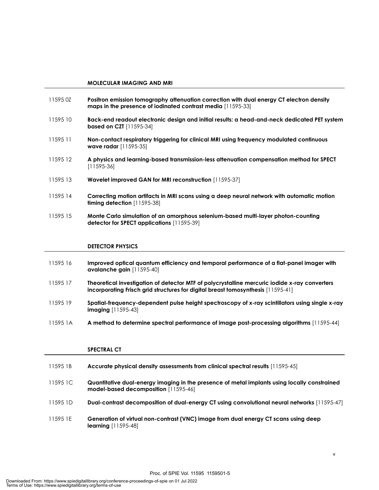#### **MOLECULAR IMAGING AND MRI**

- 11595 0Z **Positron emission tomography attenuation correction with dual energy CT electron density maps in the presence of iodinated contrast media** [11595-33] 11595 10 **Back-end readout electronic design and initial results: a head-and-neck dedicated PET system based on CZT** [11595-34]
- 11595 11 **Non-contact respiratory triggering for clinical MRI using frequency modulated continuous wave radar** [11595-35]
- 11595 12 **A physics and learning-based transmission-less attenuation compensation method for SPECT** [11595-36]
- 11595 13 **Wavelet improved GAN for MRI reconstruction** [11595-37]
- 11595 14 **Correcting motion artifacts in MRI scans using a deep neural network with automatic motion timing detection** [11595-38]
- 11595 15 **Monte Carlo simulation of an amorphous selenium-based multi-layer photon-counting detector for SPECT applications** [11595-39]

#### **DETECTOR PHYSICS**

- 11595 16 **Improved optical quantum efficiency and temporal performance of a flat-panel imager with avalanche gain** [11595-40]
- 11595 17 **Theoretical investigation of detector MTF of polycrystalline mercuric iodide x-ray converters incorporating Frisch grid structures for digital breast tomosynthesis** [11595-41]
- 11595 19 **Spatial-frequency-dependent pulse height spectroscopy of x-ray scintillators using single x-ray imaging** [11595-43]
- 11595 1A **A method to determine spectral performance of image post-processing algorithms** [11595-44]

#### **SPECTRAL CT**

| 11595 1B | Accurate physical density assessments from clinical spectral results [11595-45]                                                      |
|----------|--------------------------------------------------------------------------------------------------------------------------------------|
| 115951C  | Quantitative dual-energy imaging in the presence of metal implants using locally constrained<br>model-based decomposition [11595-46] |
| 11595 ID | Dual-contrast decomposition of dual-energy CT using convolutional neural networks [11595-47]                                         |
| 11595 IE | Generation of virtual non-contrast (VNC) image from dual energy CT scans using deep<br><b>learning</b> $[11595-48]$                  |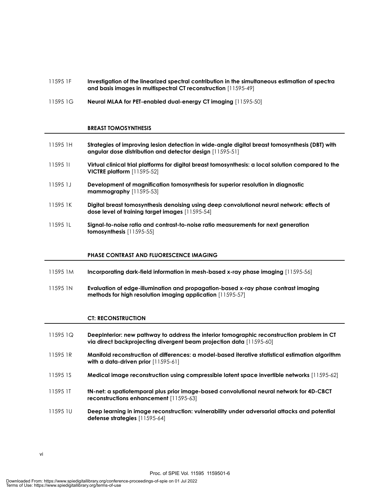- 11595 1F **Investigation of the linearized spectral contribution in the simultaneous estimation of spectra and basis images in multispectral CT reconstruction** [11595-49]
- 11595 1G **Neural MLAA for PET-enabled dual-energy CT imaging** [11595-50]

#### **BREAST TOMOSYNTHESIS**

- 11595 1H **Strategies of improving lesion detection in wide-angle digital breast tomosynthesis (DBT) with angular dose distribution and detector design** [11595-51] 11595 1I **Virtual clinical trial platforms for digital breast tomosynthesis: a local solution compared to the**
- **VICTRE platform** [11595-52]
- 11595 1J **Development of magnification tomosynthesis for superior resolution in diagnostic mammography** [11595-53]
- 11595 1K **Digital breast tomosynthesis denoising using deep convolutional neural network: effects of dose level of training target images** [11595-54]
- 11595 1L **Signal-to-noise ratio and contrast-to-noise ratio measurements for next generation tomosynthesis** [11595-55]

#### **PHASE CONTRAST AND FLUORESCENCE IMAGING**

- 11595 1M **Incorporating dark-field information in mesh-based x-ray phase imaging** [11595-56]
- 11595 1N **Evaluation of edge-illumination and propagation-based x-ray phase contrast imaging methods for high resolution imaging application** [11595-57]

#### **CT: RECONSTRUCTION**

- 11595 1Q **DeepInterior: new pathway to address the interior tomographic reconstruction problem in CT via direct backprojecting divergent beam projection data** [11595-60]
- 11595 1R **Manifold reconstruction of differences: a model-based iterative statistical estimation algorithm with a data-driven prior** [11595-61]
- 11595 1S **Medical image reconstruction using compressible latent space invertible networks** [11595-62]
- 11595 1T **tN-net: a spatiotemporal plus prior image-based convolutional neural network for 4D-CBCT reconstructions enhancement** [11595-63]
- 11595 1U **Deep learning in image reconstruction: vulnerability under adversarial attacks and potential defense strategies** [11595-64]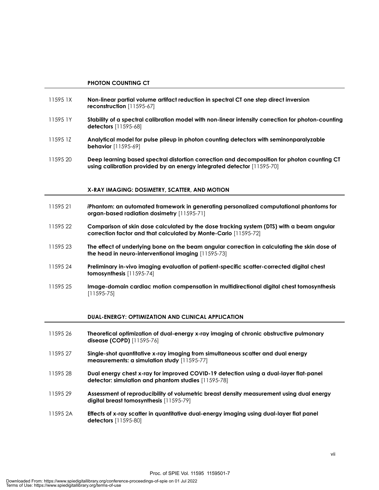- 11595 1X **Non-linear partial volume artifact reduction in spectral CT one step direct inversion reconstruction** [11595-67]
- 11595 1Y **Stability of a spectral calibration model with non-linear intensity correction for photon-counting detectors** [11595-68]
- 11595 1Z **Analytical model for pulse pileup in photon counting detectors with seminonparalyzable behavior** [11595-69]
- 11595 20 **Deep learning based spectral distortion correction and decomposition for photon counting CT using calibration provided by an energy integrated detector** [11595-70]

#### **X-RAY IMAGING: DOSIMETRY, SCATTER, AND MOTION**

- 11595 21 *i***Phantom: an automated framework in generating personalized computational phantoms for organ-based radiation dosimetry** [11595-71]
- 11595 22 **Comparison of skin dose calculated by the dose tracking system (DTS) with a beam angular correction factor and that calculated by Monte-Carlo** [11595-72]
- 11595 23 **The effect of underlying bone on the beam angular correction in calculating the skin dose of the head in neuro-interventional imaging** [11595-73]
- 11595 24 **Preliminary in-vivo imaging evaluation of patient-specific scatter-corrected digital chest tomosynthesis** [11595-74]
- 11595 25 **Image-domain cardiac motion compensation in multidirectional digital chest tomosynthesis** [11595-75]

#### **DUAL-ENERGY: OPTIMIZATION AND CLINICAL APPLICATION**

- 11595 26 **Theoretical optimization of dual-energy x-ray imaging of chronic obstructive pulmonary disease (COPD)** [11595-76]
- 11595 27 **Single-shot quantitative x-ray imaging from simultaneous scatter and dual energy measurements: a simulation study** [11595-77]
- 11595 28 **Dual energy chest x-ray for improved COVID-19 detection using a dual-layer flat-panel detector: simulation and phantom studies** [11595-78]
- 11595 29 **Assessment of reproducibility of volumetric breast density measurement using dual energy digital breast tomosynthesis** [11595-79]
- 11595 2A **Effects of x-ray scatter in quantitative dual-energy imaging using dual-layer flat panel detectors** [11595-80]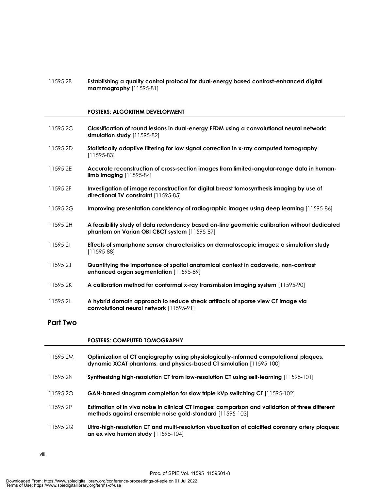11595 2B **Establishing a quality control protocol for dual-energy based contrast-enhanced digital mammography** [11595-81]

#### **POSTERS: ALGORITHM DEVELOPMENT**

- 11595 2C **Classification of round lesions in dual-energy FFDM using a convolutional neural network: simulation study** [11595-82]
- 11595 2D **Statistically adaptive filtering for low signal correction in x-ray computed tomography**  [11595-83]
- 11595 2E **Accurate reconstruction of cross-section images from limited-angular-range data in humanlimb imaging** [11595-84]
- 11595 2F **Investigation of image reconstruction for digital breast tomosynthesis imaging by use of directional TV constraint** [11595-85]
- 11595 2G **Improving presentation consistency of radiographic images using deep learning** [11595-86]
- 11595 2H **A feasibility study of data redundancy based on-line geometric calibration without dedicated phantom on Varian OBI CBCT system** [11595-87]
- 11595 2I **Effects of smartphone sensor characteristics on dermatoscopic images: a simulation study** [11595-88]
- 11595 2J **Quantifying the importance of spatial anatomical context in cadaveric, non-contrast enhanced organ segmentation** [11595-89]
- 11595 2K **A calibration method for conformal x-ray transmission imaging system** [11595-90]
- 11595 2L **A hybrid domain approach to reduce streak artifacts of sparse view CT image via convolutional neural network** [11595-91]

#### **Part Two**

#### **POSTERS: COMPUTED TOMOGRAPHY**

11595 2M **Optimization of CT angiography using physiologically-informed computational plaques, dynamic XCAT phantoms, and physics-based CT simulation** [11595-100] 11595 2N **Synthesizing high-resolution CT from low-resolution CT using self-learning** [11595-101] 11595 2O **GAN-based sinogram completion for slow triple kVp switching CT** [11595-102] 11595 2P **Estimation of in vivo noise in clinical CT images: comparison and validation of three different methods against ensemble noise gold-standard** [11595-103] 11595 2Q **Ultra-high-resolution CT and multi-resolution visualization of calcified coronary artery plaques: an ex vivo human study** [11595-104]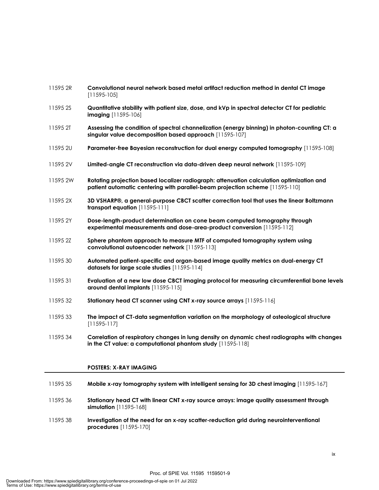| 11595 2R | Convolutional neural network based metal artifact reduction method in dental CT image<br>$[11595-105]$                                                                   |
|----------|--------------------------------------------------------------------------------------------------------------------------------------------------------------------------|
| 11595 2S | Quantitative stability with patient size, dose, and kVp in spectral detector CT for pediatric<br><b>imaging</b> [11595-106]                                              |
| 11595 2T | Assessing the condition of spectral channelization (energy binning) in photon-counting CT: a<br>singular value decomposition based approach [11595-107]                  |
| 11595 2U | Parameter-free Bayesian reconstruction for dual energy computed tomography [11595-108]                                                                                   |
| 11595 2V | Limited-angle CT reconstruction via data-driven deep neural network [11595-109]                                                                                          |
| 11595 2W | Rotating projection based localizer radiograph: attenuation calculation optimization and<br>patient automatic centering with parallel-beam projection scheme [11595-110] |
| 11595 2X | 3D VSHARP®, a general-purpose CBCT scatter correction tool that uses the linear Boltzmann<br>transport equation [11595-111]                                              |
| 11595 2Y | Dose-length-product determination on cone beam computed tomography through<br>experimental measurements and dose-area-product conversion [11595-112]                     |
| 11595 2Z | Sphere phantom approach to measure MTF of computed tomography system using<br>convolutional autoencoder network [11595-113]                                              |
| 1159530  | Automated patient-specific and organ-based image quality metrics on dual-energy CT<br>datasets for large scale studies [11595-114]                                       |
| 1159531  | Evaluation of a new low dose CBCT imaging protocol for measuring circumferential bone levels<br>around dental implants [11595-115]                                       |
| 1159532  | Stationary head CT scanner using CNT x-ray source arrays [11595-116]                                                                                                     |
| 1159533  | The impact of CT-data segmentation variation on the morphology of osteological structure<br>$[11595-117]$                                                                |
| 1159534  | Correlation of respiratory changes in lung density on dynamic chest radiographs with changes<br>in the CT value: a computational phantom study [11595-118]               |
|          |                                                                                                                                                                          |

#### **POSTERS: X-RAY IMAGING**

| 1159535 | Mobile x-ray tomography system with intelligent sensing for 3D chest imaging [11595-167]                                    |
|---------|-----------------------------------------------------------------------------------------------------------------------------|
| 1159536 | Stationary head CT with linear CNT x-ray source arrays: image quality assessment through<br><b>simulation</b> $[11595-168]$ |
| 1159538 | Investigation of the need for an x-ray scatter-reduction grid during neurointerventional<br><b>procedures</b> $[11595-170]$ |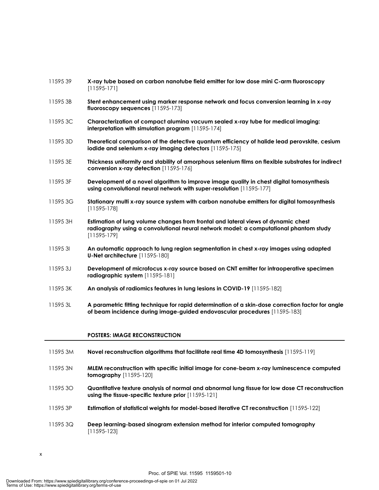| 1159539  | X-ray tube based on carbon nanotube field emitter for low dose mini C-arm fluoroscopy<br>$[11595-171]$                                                                                      |
|----------|---------------------------------------------------------------------------------------------------------------------------------------------------------------------------------------------|
| 115953B  | Stent enhancement using marker response network and focus conversion learning in x-ray<br>fluoroscopy sequences [11595-173]                                                                 |
| 11595 3C | Characterization of compact alumina vacuum sealed x-ray tube for medical imaging:<br>interpretation with simulation program [11595-174]                                                     |
| 115953D  | Theoretical comparison of the detective quantum efficiency of halide lead perovskite, cesium<br>iodide and selenium x-ray imaging detectors [11595-175]                                     |
| 115953E  | Thickness uniformity and stability of amorphous selenium films on flexible substrates for indirect<br>conversion x-ray detection [11595-176]                                                |
| 115953F  | Development of a novel algorithm to improve image quality in chest digital tomosynthesis<br>using convolutional neural network with super-resolution [11595-177]                            |
| 11595 3G | Stationary multi x-ray source system with carbon nanotube emitters for digital tomosynthesis<br>$[11595-178]$                                                                               |
| 115953H  | Estimation of lung volume changes from frontal and lateral views of dynamic chest<br>radiography using a convolutional neural network model: a computational phantom study<br>$[11595-179]$ |
| 1159531  | An automatic approach to lung region segmentation in chest x-ray images using adapted<br>U-Net architecture [11595-180]                                                                     |
| 115953J  | Development of microfocus x-ray source based on CNT emitter for intraoperative specimen<br>radiographic system [11595-181]                                                                  |
| 11595 3K | An analysis of radiomics features in lung lesions in COVID-19 [11595-182]                                                                                                                   |
| 115953L  | A parametric fitting technique for rapid determination of a skin-dose correction factor for angle<br>of beam incidence during image-guided endovascular procedures [11595-183]              |
|          | <b>POSTERS: IMAGE RECONSTRUCTION</b>                                                                                                                                                        |

- 11595 3M **Novel reconstruction algorithms that facilitate real time 4D tomosynthesis** [11595-119]
- 11595 3N **MLEM reconstruction with specific initial image for cone-beam x-ray luminescence computed tomography** [11595-120]
- 11595 3O **Quantitative texture analysis of normal and abnormal lung tissue for low dose CT reconstruction using the tissue-specific texture prior** [11595-121]
- 11595 3P **Estimation of statistical weights for model-based iterative CT reconstruction** [11595-122]
- 11595 3Q **Deep learning-based sinogram extension method for interior computed tomography**  [11595-123]
- x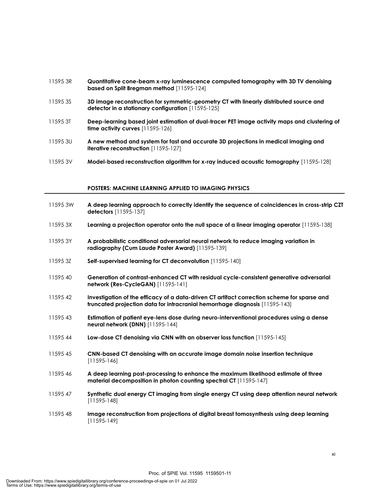- 11595 3R **Quantitative cone-beam x-ray luminescence computed tomography with 3D TV denoising based on Split Bregman method** [11595-124]
- 11595 3S **3D image reconstruction for symmetric-geometry CT with linearly distributed source and detector in a stationary configuration** [11595-125]
- 11595 3T **Deep-learning based joint estimation of dual-tracer PET image activity maps and clustering of time activity curves** [11595-126]
- 11595 3U **A new method and system for fast and accurate 3D projections in medical imaging and iterative reconstruction** [11595-127]
- 11595 3V **Model-based reconstruction algorithm for x-ray induced acoustic tomography** [11595-128]

#### **POSTERS: MACHINE LEARNING APPLIED TO IMAGING PHYSICS**

- 11595 3W **A deep learning approach to correctly identify the sequence of coincidences in cross-strip CZT detectors** [11595-137]
- 11595 3X **Learning a projection operator onto the null space of a linear imaging operator** [11595-138]
- 11595 3Y **A probabilistic conditional adversarial neural network to reduce imaging variation in radiography (Cum Laude Poster Award)** [11595-139]
- 11595 3Z **Self-supervised learning for CT deconvolution** [11595-140]
- 11595 40 **Generation of contrast-enhanced CT with residual cycle-consistent generative adversarial network (Res-CycleGAN)** [11595-141]
- 11595 42 **Investigation of the efficacy of a data-driven CT artifact correction scheme for sparse and truncated projection data for intracranial hemorrhage diagnosis** [11595-143]
- 11595 43 **Estimation of patient eye-lens dose during neuro-interventional procedures using a dense neural network (DNN)** [11595-144]
- 11595 44 **Low-dose CT denoising via CNN with an observer loss function** [11595-145]
- 11595 45 **CNN-based CT denoising with an accurate image domain noise insertion technique**  [11595-146]
- 11595 46 **A deep learning post-processing to enhance the maximum likelihood estimate of three material decomposition in photon counting spectral CT** [11595-147]
- 11595 47 **Synthetic dual energy CT imaging from single energy CT using deep attention neural network** [11595-148]
- 11595 48 **Image reconstruction from projections of digital breast tomosynthesis using deep learning** [11595-149]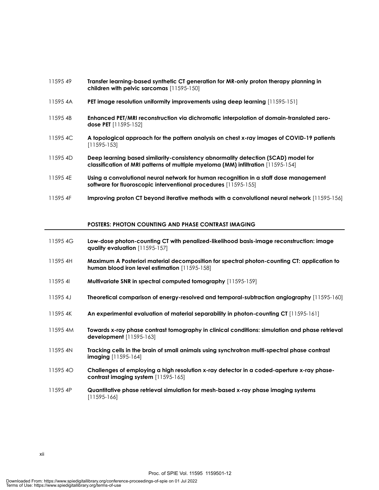| 1159549  | Transfer learning-based synthetic CT generation for MR-only proton therapy planning in<br>children with pelvic sarcomas [11595-150]                                   |
|----------|-----------------------------------------------------------------------------------------------------------------------------------------------------------------------|
| 11595 4A | PET image resolution uniformity improvements using deep learning [11595-151]                                                                                          |
| 11595 4B | Enhanced PET/MRI reconstruction via dichromatic interpolation of domain-translated zero-<br><b>dose PET</b> [11595-152]                                               |
| 11595 4C | A topological approach for the pattern analysis on chest x-ray images of COVID-19 patients<br>$[11595-153]$                                                           |
| 11595 4D | Deep learning based similarity-consistency abnormality detection (SCAD) model for<br>classification of MRI patterns of multiple myeloma (MM) infiltration [11595-154] |
| 11595 4E | Using a convolutional neural network for human recognition in a staff dose management<br>software for fluoroscopic interventional procedures [11595-155]              |
| 11595 4F | Improving proton CT beyond iterative methods with a convolutional neural network [11595-156]                                                                          |

#### **POSTERS: PHOTON COUNTING AND PHASE CONTRAST IMAGING**

| 11595 4G | Low-dose photon-counting CT with penalized-likelihood basis-image reconstruction: image<br>quality evaluation [11595-157]                    |
|----------|----------------------------------------------------------------------------------------------------------------------------------------------|
| 11595 4H | Maximum A Posteriori material decomposition for spectral photon-counting CT: application to<br>human blood iron level estimation [11595-158] |
| 1159541  | Multivariate SNR in spectral computed tomography [11595-159]                                                                                 |
| 11595 4J | <b>Theoretical comparison of energy-resolved and temporal-subtraction angiography</b> [11595-160]                                            |
| 11595 4K | An experimental evaluation of material separability in photon-counting CT [11595-161]                                                        |
| 11595 4M | Towards x-ray phase contrast tomography in clinical conditions: simulation and phase retrieval<br><b>development</b> [11595-163]             |
| 11595 4N | Tracking cells in the brain of small animals using synchrotron multi-spectral phase contrast<br><b>imaging</b> $[11595-164]$                 |
| 11595 4O | Challenges of employing a high resolution x-ray detector in a coded-aperture x-ray phase-<br>contrast imaging system [11595-165]             |
| 11595 4P | Quantitative phase retrieval simulation for mesh-based x-ray phase imaging systems<br>$[11595-166]$                                          |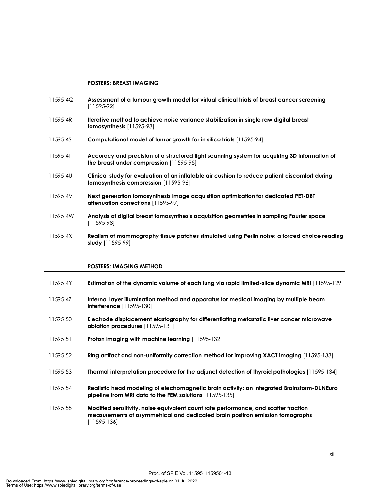#### **POSTERS: BREAST IMAGING**

| 115954Q  | Assessment of a tumour growth model for virtual clinical trials of breast cancer screening<br>$[11595-92]$                                    |
|----------|-----------------------------------------------------------------------------------------------------------------------------------------------|
| 11595 4R | Iterative method to achieve noise variance stabilization in single raw digital breast<br><b>tomosynthesis</b> $[11595-93]$                    |
| 11595 4S | Computational model of tumor growth for in silico trials [11595-94]                                                                           |
| 11595 4T | Accuracy and precision of a structured light scanning system for acquiring 3D information of<br>the breast under compression $[11595-95]$     |
| 11595 4U | Clinical study for evaluation of an inflatable air cushion to reduce patient discomfort during<br><b>tomosynthesis compression</b> [11595-96] |
| 11595 4V | Next generation tomosynthesis image acquisition optimization for dedicated PET-DBT<br>attenuation corrections [11595-97]                      |
| 11595 4W | Analysis of digital breast tomosynthesis acquisition geometries in sampling Fourier space<br>$[11595-98]$                                     |
| 11595 4X | Realism of mammography fissue patches simulated using Perlin noise: a forced choice reading<br>study $[11595-99]$                             |

#### **POSTERS: IMAGING METHOD**

- 11595 4Y **Estimation of the dynamic volume of each lung via rapid limited-slice dynamic MRI** [11595-129]
- 11595 4Z **Internal layer illumination method and apparatus for medical imaging by multiple beam interference** [11595-130]
- 11595 50 **Electrode displacement elastography for differentiating metastatic liver cancer microwave ablation procedures** [11595-131]
- 11595 51 **Proton imaging with machine learning** [11595-132]
- 11595 52 **Ring artifact and non-uniformity correction method for improving XACT imaging** [11595-133]
- 11595 53 **Thermal interpretation procedure for the adjunct detection of thyroid pathologies** [11595-134]
- 11595 54 **Realistic head modeling of electromagnetic brain activity: an integrated Brainstorm-DUNEuro pipeline from MRI data to the FEM solutions** [11595-135]

Proc. of SPIE Vol. 11595 1159501-13

11595 55 **Modified sensitivity, noise equivalent count rate performance, and scatter fraction measurements of asymmetrical and dedicated brain positron emission tomographs**  [11595-136]